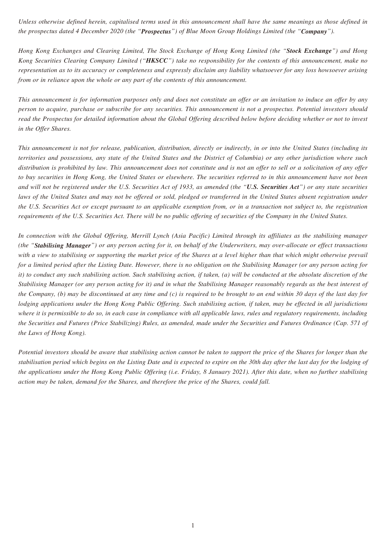*Unless otherwise defined herein, capitalised terms used in this announcement shall have the same meanings as those defined in the prospectus dated 4 December 2020 (the "Prospectus") of Blue Moon Group Holdings Limited (the "Company").*

*Hong Kong Exchanges and Clearing Limited, The Stock Exchange of Hong Kong Limited (the "Stock Exchange") and Hong Kong Securities Clearing Company Limited ("HKSCC") take no responsibility for the contents of this announcement, make no representation as to its accuracy or completeness and expressly disclaim any liability whatsoever for any loss howsoever arising from or in reliance upon the whole or any part of the contents of this announcement.*

*This announcement is for information purposes only and does not constitute an offer or an invitation to induce an offer by any person to acquire, purchase or subscribe for any securities. This announcement is not a prospectus. Potential investors should read the Prospectus for detailed information about the Global Offering described below before deciding whether or not to invest in the Offer Shares.*

*This announcement is not for release, publication, distribution, directly or indirectly, in or into the United States (including its territories and possessions, any state of the United States and the District of Columbia) or any other jurisdiction where such distribution is prohibited by law. This announcement does not constitute and is not an offer to sell or a solicitation of any offer to buy securities in Hong Kong, the United States or elsewhere. The securities referred to in this announcement have not been and will not be registered under the U.S. Securities Act of 1933, as amended (the "U.S. Securities Act") or any state securities*  laws of the United States and may not be offered or sold, pledged or transferred in the United States absent registration under *the U.S. Securities Act or except pursuant to an applicable exemption from, or in a transaction not subject to, the registration requirements of the U.S. Securities Act. There will be no public offering of securities of the Company in the United States.*

*In connection with the Global Offering, Merrill Lynch (Asia Pacific) Limited through its affiliates as the stabilising manager (the "Stabilising Manager") or any person acting for it, on behalf of the Underwriters, may over-allocate or effect transactions with a view to stabilising or supporting the market price of the Shares at a level higher than that which might otherwise prevail for a limited period after the Listing Date. However, there is no obligation on the Stabilising Manager (or any person acting for it) to conduct any such stabilising action. Such stabilising action, if taken, (a) will be conducted at the absolute discretion of the Stabilising Manager (or any person acting for it) and in what the Stabilising Manager reasonably regards as the best interest of the Company, (b) may be discontinued at any time and (c) is required to be brought to an end within 30 days of the last day for lodging applications under the Hong Kong Public Offering. Such stabilising action, if taken, may be effected in all jurisdictions where it is permissible to do so, in each case in compliance with all applicable laws, rules and regulatory requirements, including the Securities and Futures (Price Stabilizing) Rules, as amended, made under the Securities and Futures Ordinance (Cap. 571 of the Laws of Hong Kong).*

*Potential investors should be aware that stabilising action cannot be taken to support the price of the Shares for longer than the stabilisation period which begins on the Listing Date and is expected to expire on the 30th day after the last day for the lodging of the applications under the Hong Kong Public Offering (i.e. Friday, 8 January 2021). After this date, when no further stabilising action may be taken, demand for the Shares, and therefore the price of the Shares, could fall.*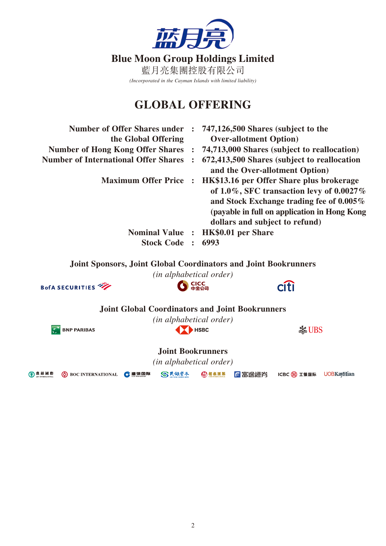

## **GLOBAL OFFERING**

| <b>Number of Offer Shares under</b>                                    | $\ddot{\phantom{0}}$ | 747,126,500 Shares (subject to the |                                                                                                                                                                                         |
|------------------------------------------------------------------------|----------------------|------------------------------------|-----------------------------------------------------------------------------------------------------------------------------------------------------------------------------------------|
| the Global Offering                                                    |                      | <b>Over-allotment Option</b> )     |                                                                                                                                                                                         |
| <b>Number of Hong Kong Offer Shares</b>                                | $\ddot{\phantom{1}}$ |                                    | 74,713,000 Shares (subject to reallocation)                                                                                                                                             |
| <b>Number of International Offer Shares</b>                            |                      | and the Over-allotment Option)     | 672,413,500 Shares (subject to reallocation                                                                                                                                             |
| <b>Maximum Offer Price</b>                                             | $\mathbf{r}$         | dollars and subject to refund)     | HK\$13.16 per Offer Share plus brokerage<br>of $1.0\%$ , SFC transaction levy of $0.0027\%$<br>and Stock Exchange trading fee of 0.005%<br>(payable in full on application in Hong Kong |
| <b>Nominal Value :</b>                                                 |                      | <b>HK\$0.01 per Share</b>          |                                                                                                                                                                                         |
| <b>Stock Code</b>                                                      | $\ddot{\phantom{1}}$ | 6993                               |                                                                                                                                                                                         |
| <b>Joint Sponsors, Joint Global Coordinators and Joint Bookrunners</b> |                      | (in alphabetical order)            |                                                                                                                                                                                         |
| <b>BofA SECURITIES</b>                                                 |                      |                                    | <b>Citi</b>                                                                                                                                                                             |
| <b>Joint Global Coordinators and Joint Bookrunners</b>                 |                      |                                    |                                                                                                                                                                                         |
|                                                                        |                      | <i>(in alphabetical order)</i>     |                                                                                                                                                                                         |
| <b>BNP PARIBAS</b>                                                     |                      | <b>HSBC</b>                        | <b>Solution</b>                                                                                                                                                                         |
|                                                                        |                      | <b>Joint Bookrunners</b>           |                                                                                                                                                                                         |
|                                                                        |                      | <i>(in alphabetical order)</i>     |                                                                                                                                                                                         |
| SK銀資本<br>農 銀 國 際<br>●建银国际<br><b>(b)</b> BOC INTERNATIONAL              |                      | 公招银国际<br>「「富途證券                    | ICBC 3 工银国际<br><b>UOBKayHian</b>                                                                                                                                                        |

 $\bigoplus$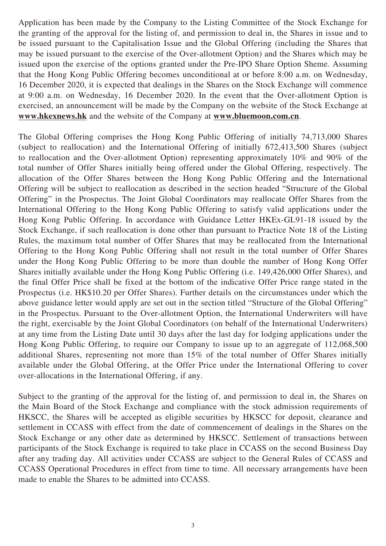Application has been made by the Company to the Listing Committee of the Stock Exchange for the granting of the approval for the listing of, and permission to deal in, the Shares in issue and to be issued pursuant to the Capitalisation Issue and the Global Offering (including the Shares that may be issued pursuant to the exercise of the Over-allotment Option) and the Shares which may be issued upon the exercise of the options granted under the Pre-IPO Share Option Sheme. Assuming that the Hong Kong Public Offering becomes unconditional at or before 8:00 a.m. on Wednesday, 16 December 2020, it is expected that dealings in the Shares on the Stock Exchange will commence at 9:00 a.m. on Wednesday, 16 December 2020. In the event that the Over-allotment Option is exercised, an announcement will be made by the Company on the website of the Stock Exchange at **www.hkexnews.hk** and the website of the Company at **www.bluemoon.com.cn**.

The Global Offering comprises the Hong Kong Public Offering of initially 74,713,000 Shares (subject to reallocation) and the International Offering of initially 672,413,500 Shares (subject to reallocation and the Over-allotment Option) representing approximately 10% and 90% of the total number of Offer Shares initially being offered under the Global Offering, respectively. The allocation of the Offer Shares between the Hong Kong Public Offering and the International Offering will be subject to reallocation as described in the section headed "Structure of the Global Offering" in the Prospectus. The Joint Global Coordinators may reallocate Offer Shares from the International Offering to the Hong Kong Public Offering to satisfy valid applications under the Hong Kong Public Offering. In accordance with Guidance Letter HKEx-GL91-18 issued by the Stock Exchange, if such reallocation is done other than pursuant to Practice Note 18 of the Listing Rules, the maximum total number of Offer Shares that may be reallocated from the International Offering to the Hong Kong Public Offering shall not result in the total number of Offer Shares under the Hong Kong Public Offering to be more than double the number of Hong Kong Offer Shares initially available under the Hong Kong Public Offering (i.e. 149,426,000 Offer Shares), and the final Offer Price shall be fixed at the bottom of the indicative Offer Price range stated in the Prospectus (i.e. HK\$10.20 per Offer Shares). Further details on the circumstances under which the above guidance letter would apply are set out in the section titled "Structure of the Global Offering" in the Prospectus. Pursuant to the Over-allotment Option, the International Underwriters will have the right, exercisable by the Joint Global Coordinators (on behalf of the International Underwriters) at any time from the Listing Date until 30 days after the last day for lodging applications under the Hong Kong Public Offering, to require our Company to issue up to an aggregate of 112,068,500 additional Shares, representing not more than 15% of the total number of Offer Shares initially available under the Global Offering, at the Offer Price under the International Offering to cover over-allocations in the International Offering, if any.

Subject to the granting of the approval for the listing of, and permission to deal in, the Shares on the Main Board of the Stock Exchange and compliance with the stock admission requirements of HKSCC, the Shares will be accepted as eligible securities by HKSCC for deposit, clearance and settlement in CCASS with effect from the date of commencement of dealings in the Shares on the Stock Exchange or any other date as determined by HKSCC. Settlement of transactions between participants of the Stock Exchange is required to take place in CCASS on the second Business Day after any trading day. All activities under CCASS are subject to the General Rules of CCASS and CCASS Operational Procedures in effect from time to time. All necessary arrangements have been made to enable the Shares to be admitted into CCASS.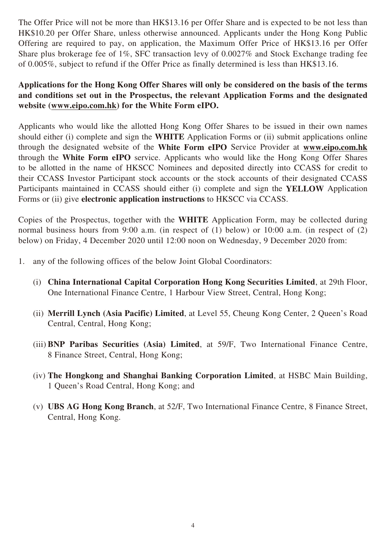The Offer Price will not be more than HK\$13.16 per Offer Share and is expected to be not less than HK\$10.20 per Offer Share, unless otherwise announced. Applicants under the Hong Kong Public Offering are required to pay, on application, the Maximum Offer Price of HK\$13.16 per Offer Share plus brokerage fee of 1%, SFC transaction levy of 0.0027% and Stock Exchange trading fee of 0.005%, subject to refund if the Offer Price as finally determined is less than HK\$13.16.

## **Applications for the Hong Kong Offer Shares will only be considered on the basis of the terms and conditions set out in the Prospectus, the relevant Application Forms and the designated website (www.eipo.com.hk) for the White Form eIPO.**

Applicants who would like the allotted Hong Kong Offer Shares to be issued in their own names should either (i) complete and sign the **WHITE** Application Forms or (ii) submit applications online through the designated website of the **White Form eIPO** Service Provider at **www.eipo.com.hk** through the **White Form eIPO** service. Applicants who would like the Hong Kong Offer Shares to be allotted in the name of HKSCC Nominees and deposited directly into CCASS for credit to their CCASS Investor Participant stock accounts or the stock accounts of their designated CCASS Participants maintained in CCASS should either (i) complete and sign the **YELLOW** Application Forms or (ii) give **electronic application instructions** to HKSCC via CCASS.

Copies of the Prospectus, together with the **WHITE** Application Form, may be collected during normal business hours from 9:00 a.m. (in respect of (1) below) or 10:00 a.m. (in respect of (2) below) on Friday, 4 December 2020 until 12:00 noon on Wednesday, 9 December 2020 from:

- 1. any of the following offices of the below Joint Global Coordinators:
	- (i) **China International Capital Corporation Hong Kong Securities Limited**, at 29th Floor, One International Finance Centre, 1 Harbour View Street, Central, Hong Kong;
	- (ii) **Merrill Lynch (Asia Pacific) Limited**, at Level 55, Cheung Kong Center, 2 Queen's Road Central, Central, Hong Kong;
	- (iii) **BNP Paribas Securities (Asia) Limited**, at 59/F, Two International Finance Centre, 8 Finance Street, Central, Hong Kong;
	- (iv) **The Hongkong and Shanghai Banking Corporation Limited**, at HSBC Main Building, 1 Queen's Road Central, Hong Kong; and
	- (v) **UBS AG Hong Kong Branch**, at 52/F, Two International Finance Centre, 8 Finance Street, Central, Hong Kong.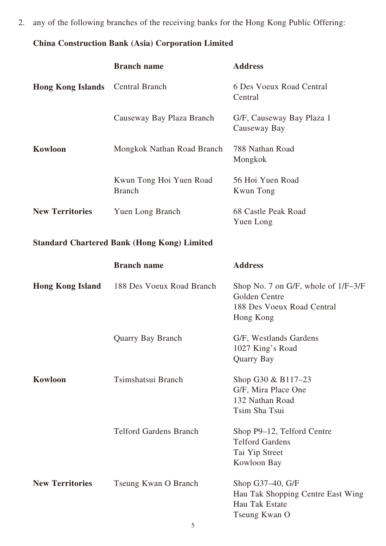2. any of the following branches of the receiving banks for the Hong Kong Public Offering:

## **China Construction Bank (Asia) Corporation Limited**

|                                                    | <b>Branch name</b>                       | <b>Address</b>                                                                                  |  |  |  |
|----------------------------------------------------|------------------------------------------|-------------------------------------------------------------------------------------------------|--|--|--|
| <b>Hong Kong Islands</b>                           | <b>Central Branch</b>                    | 6 Des Voeux Road Central<br>Central                                                             |  |  |  |
|                                                    | Causeway Bay Plaza Branch                | G/F, Causeway Bay Plaza 1<br>Causeway Bay                                                       |  |  |  |
| Kowloon                                            | Mongkok Nathan Road Branch               | 788 Nathan Road<br>Mongkok                                                                      |  |  |  |
|                                                    | Kwun Tong Hoi Yuen Road<br><b>Branch</b> | 56 Hoi Yuen Road<br><b>Kwun Tong</b>                                                            |  |  |  |
| <b>New Territories</b>                             | <b>Yuen Long Branch</b>                  | 68 Castle Peak Road<br>Yuen Long                                                                |  |  |  |
| <b>Standard Chartered Bank (Hong Kong) Limited</b> |                                          |                                                                                                 |  |  |  |
|                                                    | <b>Branch name</b>                       | <b>Address</b>                                                                                  |  |  |  |
| <b>Hong Kong Island</b>                            | 188 Des Voeux Road Branch                | Shop No. 7 on G/F, whole of 1/F-3/F<br>Golden Centre<br>188 Des Voeux Road Central<br>Hong Kong |  |  |  |
|                                                    | Quarry Bay Branch                        | G/F, Westlands Gardens<br>1027 King's Road<br>Quarry Bay                                        |  |  |  |
| Kowloon                                            | Tsimshatsui Branch                       | Shop G30 & B117-23<br>G/F, Mira Place One<br>132 Nathan Road<br>Tsim Sha Tsui                   |  |  |  |
|                                                    | <b>Telford Gardens Branch</b>            | Shop P9–12, Telford Centre<br><b>Telford Gardens</b><br>Tai Yip Street<br>Kowloon Bay           |  |  |  |
| <b>New Territories</b>                             | Tseung Kwan O Branch                     | Shop G37-40, G/F<br>Hau Tak Shopping Centre East Wing<br>Hau Tak Estate<br>Tseung Kwan O        |  |  |  |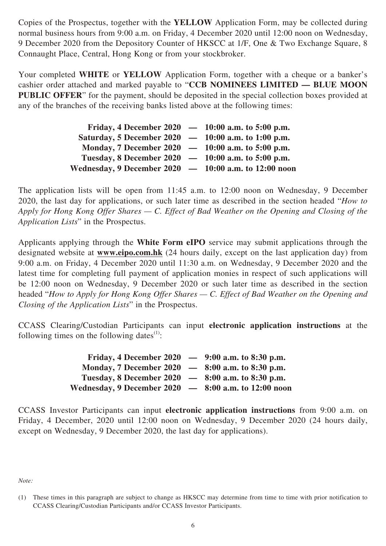Copies of the Prospectus, together with the **YELLOW** Application Form, may be collected during normal business hours from 9:00 a.m. on Friday, 4 December 2020 until 12:00 noon on Wednesday, 9 December 2020 from the Depository Counter of HKSCC at 1/F, One & Two Exchange Square, 8 Connaught Place, Central, Hong Kong or from your stockbroker.

Your completed **WHITE** or **YELLOW** Application Form, together with a cheque or a banker's cashier order attached and marked payable to "**CCB NOMINEES LIMITED — BLUE MOON PUBLIC OFFER**" for the payment, should be deposited in the special collection boxes provided at any of the branches of the receiving banks listed above at the following times:

| Friday, 4 December 2020 $-$ 10:00 a.m. to 5:00 p.m.     |  |
|---------------------------------------------------------|--|
| Saturday, 5 December 2020 - 10:00 a.m. to 1:00 p.m.     |  |
| Monday, 7 December 2020 $-$ 10:00 a.m. to 5:00 p.m.     |  |
| Tuesday, 8 December 2020 $-$ 10:00 a.m. to 5:00 p.m.    |  |
| Wednesday, 9 December 2020 $-$ 10:00 a.m. to 12:00 noon |  |

The application lists will be open from 11:45 a.m. to 12:00 noon on Wednesday, 9 December 2020, the last day for applications, or such later time as described in the section headed "*How to Apply for Hong Kong Offer Shares — C. Effect of Bad Weather on the Opening and Closing of the Application Lists*" in the Prospectus.

Applicants applying through the **White Form eIPO** service may submit applications through the designated website at **www.eipo.com.hk** (24 hours daily, except on the last application day) from 9:00 a.m. on Friday, 4 December 2020 until 11:30 a.m. on Wednesday, 9 December 2020 and the latest time for completing full payment of application monies in respect of such applications will be 12:00 noon on Wednesday, 9 December 2020 or such later time as described in the section headed "*How to Apply for Hong Kong Offer Shares — C. Effect of Bad Weather on the Opening and Closing of the Application Lists*" in the Prospectus.

CCASS Clearing/Custodian Participants can input **electronic application instructions** at the following times on the following dates $(1)$ :

| Friday, 4 December 2020 $-$ 9:00 a.m. to 8:30 p.m.     |  |
|--------------------------------------------------------|--|
| Monday, 7 December 2020 - 8:00 a.m. to 8:30 p.m.       |  |
| Tuesday, 8 December 2020 $-$ 8:00 a.m. to 8:30 p.m.    |  |
| Wednesday, 9 December 2020 $-$ 8:00 a.m. to 12:00 noon |  |

CCASS Investor Participants can input **electronic application instructions** from 9:00 a.m. on Friday, 4 December, 2020 until 12:00 noon on Wednesday, 9 December 2020 (24 hours daily, except on Wednesday, 9 December 2020, the last day for applications).

*Note:*

<sup>(1)</sup> These times in this paragraph are subject to change as HKSCC may determine from time to time with prior notification to CCASS Clearing/Custodian Participants and/or CCASS Investor Participants.